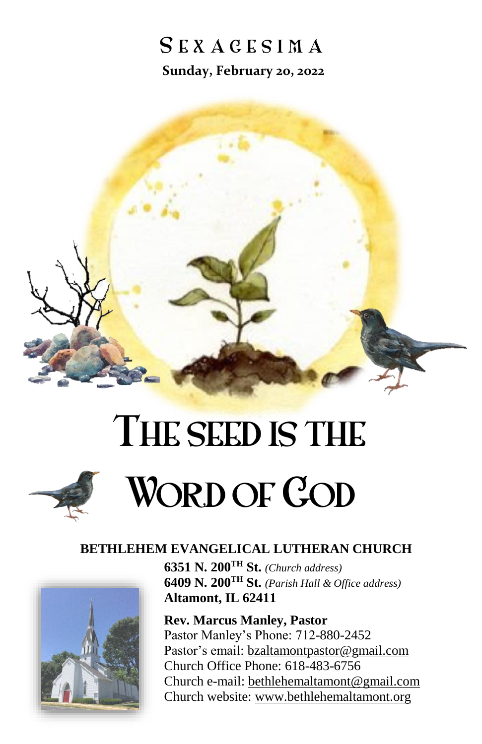# SEXACESIMA **Sunday, February 20, 2022**



# THE SEED IS THE WORD OF **COD**

#### **BETHLEHEM EVANGELICAL LUTHERAN CHURCH**



**6351 N. 200TH St.** *(Church address)* **6409 N. 200TH St.** *(Parish Hall & Office address)* **Altamont, IL 62411**

**Rev. Marcus Manley, Pastor** Pastor Manley's Phone: 712-880-2452 Pastor's email: [bzaltamontpastor@gmail.com](mailto:bzaltamontpastor@gmail.com) Church Office Phone: 618-483-6756 Church e-mail: [bethlehemaltamont@gmail.com](mailto:bethlehemaltamont@gmail.com) Church website: [www.bethlehemaltamont.org](http://www.bethlehemaltamont.org/)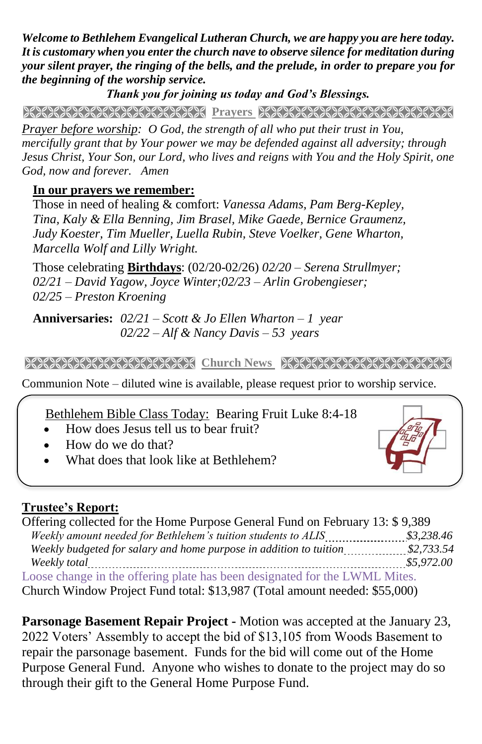*Welcome to Bethlehem Evangelical Lutheran Church, we are happy you are here today. It is customary when you enter the church nave to observe silence for meditation during your silent prayer, the ringing of the bells, and the prelude, in order to prepare you for the beginning of the worship service.* 

*Thank you for joining us today and God's Blessings.*

**PRAYERS AND RELEASE TO A STRAIGHT AND RELEASE AND RELEASE OF A STRAIGHT AND RELEASE OF A STRAIGHT AND RELEASE** 

*Prayer before worship: O God, the strength of all who put their trust in You, mercifully grant that by Your power we may be defended against all adversity; through Jesus Christ, Your Son, our Lord, who lives and reigns with You and the Holy Spirit, one God, now and forever. Amen*

### **In our prayers we remember:**

Those in need of healing & comfort: *Vanessa Adams, Pam Berg-Kepley, Tina, Kaly & Ella Benning, Jim Brasel, Mike Gaede, Bernice Graumenz, Judy Koester, Tim Mueller, Luella Rubin, Steve Voelker, Gene Wharton, Marcella Wolf and Lilly Wright.*

Those celebrating **Birthdays**: (02/20-02/26) *02/20 – Serena Strullmyer; 02/21 – David Yagow, Joyce Winter;02/23 – Arlin Grobengieser; 02/25 – Preston Kroening*

**Anniversaries:** *02/21 – Scott & Jo Ellen Wharton – 1 year 02/22 – Alf & Nancy Davis – 53 years*

**Church News RECESSION CONTRACT CONTRACT CONTRACT AND RELATED AT A LIGHT OF A LIGHT OF A LIGHT OF A LIGHT OF A** 

Communion Note – diluted wine is available, please request prior to worship service. 

Bethlehem Bible Class Today: Bearing Fruit Luke 8:4-18

- How does Jesus tell us to bear fruit?
- How do we do that?
- What does that look like at Bethlehem?

## **Trustee's Report:**

| Offering collected for the Home Purpose General Fund on February 13: \$9,389 |            |
|------------------------------------------------------------------------------|------------|
|                                                                              |            |
|                                                                              |            |
|                                                                              | \$5,972.00 |
| Loose change in the offering plate has been designated for the LWML Mites.   |            |
| Church Window Project Fund total: \$13,987 (Total amount needed: \$55,000)   |            |

**Parsonage Basement Repair Project -** Motion was accepted at the January 23, 2022 Voters' Assembly to accept the bid of \$13,105 from Woods Basement to repair the parsonage basement. Funds for the bid will come out of the Home Purpose General Fund. Anyone who wishes to donate to the project may do so through their gift to the General Home Purpose Fund.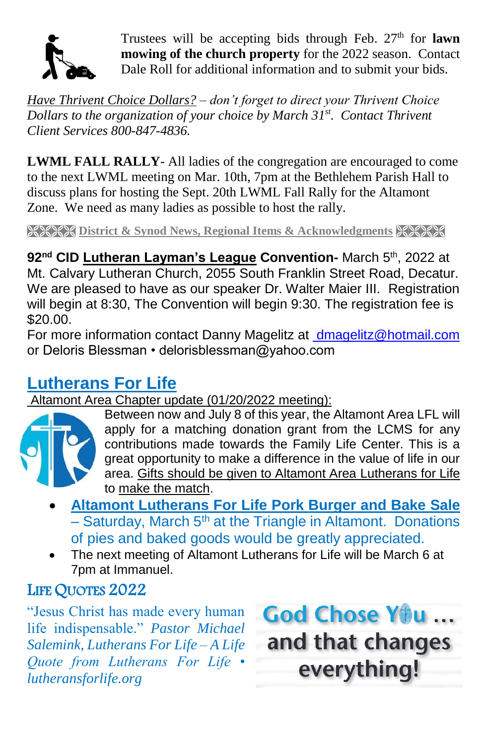

Trustees will be accepting bids through Feb. 27<sup>th</sup> for **lawn mowing of the church property** for the 2022 season. Contact Dale Roll for additional information and to submit your bids.

*Have Thrivent Choice Dollars? – don't forget to direct your Thrivent Choice Dollars to the organization of your choice by March 31 st. Contact Thrivent Client Services 800-847-4836.*

**LWML FALL RALLY**- All ladies of the congregation are encouraged to come to the next LWML meeting on Mar. 10th, 7pm at the Bethlehem Parish Hall to discuss plans for hosting the Sept. 20th LWML Fall Rally for the Altamont Zone. We need as many ladies as possible to host the rally.

**RESERT District & Synod News, Regional Items & Acknowledgments** 

**92nd CID Lutheran Layman's League Convention-** March 5th, 2022 at Mt. Calvary Lutheran Church, 2055 South Franklin Street Road, Decatur. We are pleased to have as our speaker Dr. Walter Maier III. Registration will begin at 8:30, The Convention will begin 9:30. The registration fee is \$20.00.

For more information contact Danny Magelitz at [dmagelitz@hotmail.com](mailto:%20dmagelitz@hotmail.com) or Deloris Blessman • delorisblessman@yahoo.com

## **Lutherans For Life**

Altamont Area Chapter update (01/20/2022 meeting):



Between now and July 8 of this year, the Altamont Area LFL will apply for a matching donation grant from the LCMS for any contributions made towards the Family Life Center. This is a great opportunity to make a difference in the value of life in our area. Gifts should be given to Altamont Area Lutherans for Life to make the match.

- **Altamont Lutherans For Life Pork Burger and Bake Sale**  $-$  Saturday, March 5<sup>th</sup> at the Triangle in Altamont. Donations of pies and baked goods would be greatly appreciated.
- The next meeting of Altamont Lutherans for Life will be March 6 at 7pm at Immanuel.

## LIFE QUOTES 2022

"Jesus Christ has made every human life indispensable." *Pastor Michael Salemink, Lutherans For Life – A Life Quote from Lutherans For Life • lutheransforlife.org*

God Chose You ... and that changes everything!